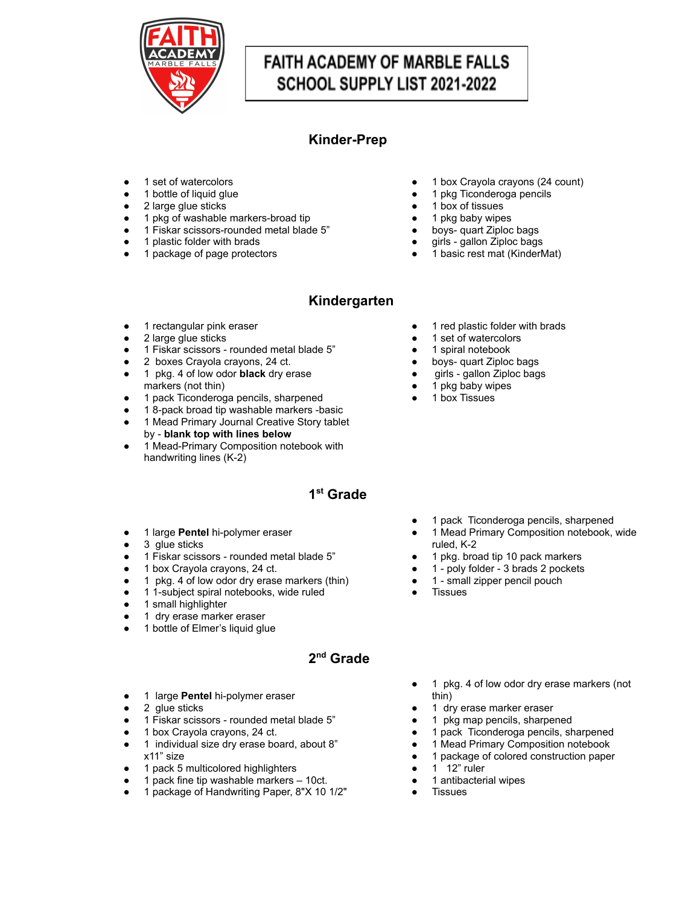

# **FAITH ACADEMY OF MARBLE FALLS** SCHOOL SUPPLY LIST 2021-2022

## **Kinder-Prep**

- 1 set of watercolors
- 1 bottle of liquid glue
- 2 large glue sticks
- 1 pkg of washable markers-broad tip
- 1 Fiskar scissors-rounded metal blade 5"
- 1 plastic folder with brads
- 1 package of page protectors
- 1 box Crayola crayons (24 count)
- 1 pkg Ticonderoga pencils
- 1 box of tissues
- 1 pkg baby wipes
- boys- quart Ziploc bags
- girls gallon Ziploc bags
- 1 basic rest mat (KinderMat)

#### **Kindergarten**

- 1 rectangular pink eraser
- 2 large glue sticks
- 1 Fiskar scissors rounded metal blade 5"
- 2 boxes Crayola crayons, 24 ct.
- 1 pkg. 4 of low odor **black** dry erase markers (not thin)
- 1 pack Ticonderoga pencils, sharpened
- 18-pack broad tip washable markers -basic
- 1 Mead Primary Journal Creative Story tablet by - **blank top with lines below**
- 1 Mead-Primary Composition notebook with handwriting lines (K-2)

#### **1 st Grade**

- 1 large **Pentel** hi-polymer eraser
- 3 glue sticks
- 1 Fiskar scissors rounded metal blade 5"
- 1 box Crayola crayons, 24 ct.
- 1 pkg. 4 of low odor dry erase markers (thin)
- 1 1-subject spiral notebooks, wide ruled
- 1 small highlighter
- 1 dry erase marker eraser
- 1 bottle of Elmer's liquid glue

## **2 nd Grade**

- 1 large **Pentel** hi-polymer eraser
- 2 glue sticks
- 1 Fiskar scissors rounded metal blade 5"
- 1 box Crayola crayons, 24 ct.
- 1 individual size dry erase board, about 8" x11" size
- 1 pack 5 multicolored highlighters
- 1 pack fine tip washable markers 10ct.
- 1 package of Handwriting Paper, 8"X 10 1/2"
- 1 pkg. 4 of low odor dry erase markers (not thin)
- 1 dry erase marker eraser
- 1 pkg map pencils, sharpened
- 1 pack Ticonderoga pencils, sharpened
- 1 Mead Primary Composition notebook
- 1 package of colored construction paper
- $\bullet$  1 12" ruler
- 1 antibacterial wipes
- Tissues
- 1 pack Ticonderoga pencils, sharpened 1 Mead Primary Composition notebook, wide
- ruled, K-2
- 
- 
- 
- **Tissues**
- 1 red plastic folder with brads 1 set of watercolors
- 
- 1 spiral notebook
- boys- quart Ziploc bags
- girls gallon Ziploc bags
- 1 pkg baby wipes
- 1 box Tissues

- - 1 pkg. broad tip 10 pack markers
	- 1 poly folder 3 brads 2 pockets
	- 1 small zipper pencil pouch
	-
-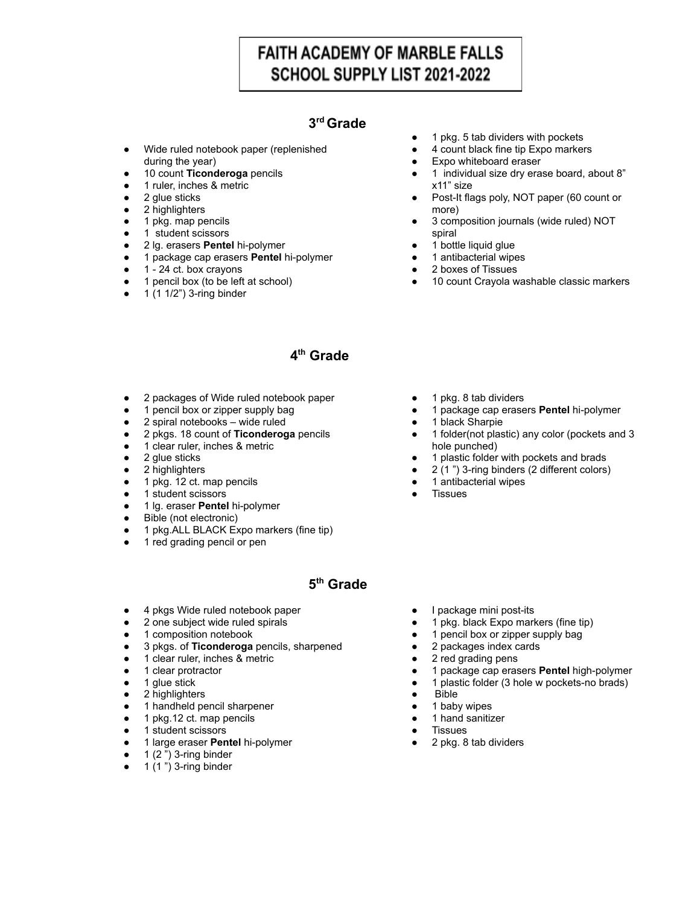## **FAITH ACADEMY OF MARBLE FALLS** SCHOOL SUPPLY LIST 2021-2022

#### **3 rd Grade**

- Wide ruled notebook paper (replenished during the year)
- 10 count **Ticonderoga** pencils
- 1 ruler, inches & metric
- 2 glue sticks
- 2 highlighters
- 1 pkg. map pencils
- 1 student scissors
- 2 lg. erasers **Pentel** hi-polymer
- 1 package cap erasers **Pentel** hi-polymer
- 1 24 ct. box crayons
- 1 pencil box (to be left at school)
- 1 (1 1/2") 3-ring binder
- 1 pkg. 5 tab dividers with pockets
- 4 count black fine tip Expo markers
- Expo whiteboard eraser
- 1 individual size dry erase board, about 8" x11" size
- Post-It flags poly, NOT paper (60 count or more)
- 3 composition journals (wide ruled) NOT spiral
- 1 bottle liquid glue
- 1 antibacterial wipes
- 2 boxes of Tissues

● 1 pkg. 8 tab dividers

1 antibacterial wipes

1 black Sharpie

hole punched)

**Tissues** 

● 10 count Crayola washable classic markers

● 1 package cap erasers **Pentel** hi-polymer

● 1 folder(not plastic) any color (pockets and 3

1 plastic folder with pockets and brads 2 (1") 3-ring binders (2 different colors)

#### **4 th Grade**

- 2 packages of Wide ruled notebook paper
- 1 pencil box or zipper supply bag
- 2 spiral notebooks wide ruled
- 2 pkgs. 18 count of **Ticonderoga** pencils
- 1 clear ruler, inches & metric
- 2 glue sticks
- 2 highlighters
- 1 pkg. 12 ct. map pencils
- 1 student scissors
- 1 lg. eraser **Pentel** hi-polymer
- Bible (not electronic)
- 1 pkg.ALL BLACK Expo markers (fine tip)
- 1 red grading pencil or pen

#### **5 th Grade**

- 4 pkgs Wide ruled notebook paper
- 2 one subject wide ruled spirals
- **•** 1 composition notebook
- 3 pkgs. of **Ticonderoga** pencils, sharpened
- 1 clear ruler, inches & metric
- 1 clear protractor
- 1 glue stick
- 2 highlighters
- 1 handheld pencil sharpener
- 1 pkg.12 ct. map pencils
- 1 student scissors
- 1 large eraser **Pentel** hi-polymer
- $1(2")$  3-ring binder
- $\bullet$  1 (1") 3-ring binder
- I package mini post-its
- 1 pkg. black Expo markers (fine tip)
- 1 pencil box or zipper supply bag
- 2 packages index cards
- 2 red grading pens
- 1 package cap erasers **Pentel** high-polymer
- 1 plastic folder (3 hole w pockets-no brads)
- **Bible**
- 1 baby wipes
- 1 hand sanitizer
- **Tissues**
- 2 pkg. 8 tab dividers